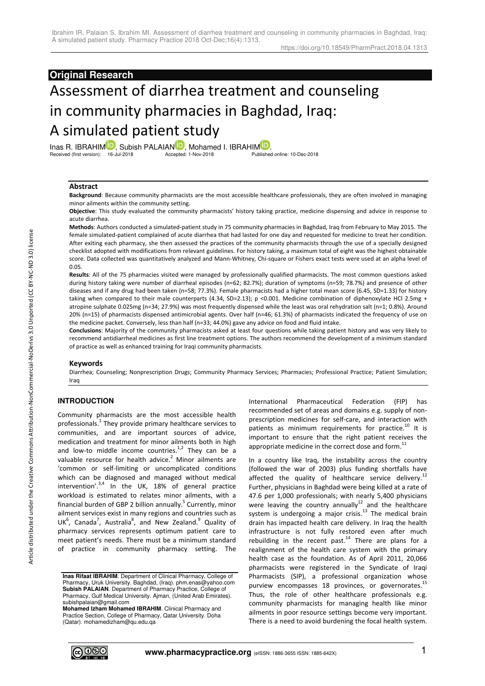# **Original Research**

# Assessment of diarrhea treatment and counseling in community pharmacies in Baghdad, Iraq: A simulated patient study

Inas R. IBRAHI[M](http://orcid.org/0000-0001-9757-3574) **D**, Subish PALAIA[N](http://orcid.org/0000-0002-9323-3940) D, Mohamed I. IBRAHIM D.<br>Received (first version): 16-Jul-2018 Accepted: 1-Nov-2018 Published online: 10-Dec-2018

#### **Abstract**

**Background**: Because community pharmacists are the most accessible healthcare professionals, they are often involved in managing minor ailments within the community setting.

**Objective**: This study evaluated the community pharmacists' history taking practice, medicine dispensing and advice in response to acute diarrhea.

**Methods**: Authors conducted a simulated-patient study in 75 community pharmacies in Baghdad, Iraq from February to May 2015. The female simulated-patient complained of acute diarrhea that had lasted for one day and requested for medicine to treat her condition. After exiting each pharmacy, she then assessed the practices of the community pharmacists through the use of a specially designed checklist adopted with modifications from relevant guidelines. For history taking, a maximum total of eight was the highest obtainable score. Data collected was quantitatively analyzed and Mann-Whitney, Chi-square or Fishers exact tests were used at an alpha level of 0.05.

**Results**: All of the 75 pharmacies visited were managed by professionally qualified pharmacists. The most common questions asked during history taking were number of diarrheal episodes (n=62; 82.7%); duration of symptoms (n=59; 78.7%) and presence of other diseases and if any drug had been taken (n=58; 77.3%). Female pharmacists had a higher total mean score (6.45, SD=1.33) for history taking when compared to their male counterparts (4.34, SD=2.13); p <0.001. Medicine combination of diphenoxylate HCl 2.5mg + atropine sulphate 0.025mg (n=34; 27.9%) was most frequently dispensed while the least was oral rehydration salt (n=1; 0.8%). Around 20% (n=15) of pharmacists dispensed antimicrobial agents. Over half (n=46; 61.3%) of pharmacists indicated the frequency of use on the medicine packet. Conversely, less than half (n=33; 44.0%) gave any advice on food and fluid intake.

**Conclusions**: Majority of the community pharmacists asked at least four questions while taking patient history and was very likely to recommend antidiarrheal medicines as first line treatment options. The authors recommend the development of a minimum standard of practice as well as enhanced training for Iraqi community pharmacists.

#### **Keywords**

Diarrhea; Counseling; Nonprescription Drugs; Community Pharmacy Services; Pharmacies; Professional Practice; Patient Simulation; Iraq

# **INTRODUCTION**

Community pharmacists are the most accessible health professionals.<sup>1</sup> They provide primary healthcare services to communities, and are important sources of advice, medication and treatment for minor ailments both in high and low-to middle income countries.<sup>1,2</sup> They can be a valuable resource for health advice. $^2$  Minor ailments are 'common or self-limiting or uncomplicated conditions which can be diagnosed and managed without medical intervention'.<sup>3,4</sup> In the UK, 18% of general practice workload is estimated to relates minor ailments, with a financial burden of GBP 2 billion annually.<sup>5</sup> Currently, minor ailment services exist in many regions and countries such as UK<sup>6</sup>, Canada<sup>7</sup>, Australia<sup>8</sup>, and New Zealand.<sup>9</sup> Quality of pharmacy services represents optimum patient care to meet patient's needs. There must be a minimum standard of practice in community pharmacy setting. The

**Mohamed Izham Mohamed IBRAHIM**. Clinical Pharmacy and Practice Section, College of Pharmacy, Qatar University. Doha (Qatar). mohamedizham@qu.edu.qa

International Pharmaceutical Federation (FIP) has recommended set of areas and domains e.g. supply of nonprescription medicines for self-care, and interaction with patients as minimum requirements for practice. $^{10}$  It is important to ensure that the right patient receives the appropriate medicine in the correct dose and form.<sup>1</sup>

In a country like Iraq, the instability across the country (followed the war of 2003) plus funding shortfalls have affected the quality of healthcare service delivery.<sup>12</sup> Further, physicians in Baghdad were being killed at a rate of 47.6 per 1,000 professionals; with nearly 5,400 physicians were leaving the country annually<sup>12</sup> and the healthcare system is undergoing a major crisis. $13$  The medical brain drain has impacted health care delivery. In Iraq the health infrastructure is not fully restored even after much rebuilding in the recent past. $14$  There are plans for a realignment of the health care system with the primary health case as the foundation. As of April 2011, 20,066 pharmacists were registered in the Syndicate of Iraqi Pharmacists (SIP), a professional organization whose purview encompasses 18 provinces, or governorates.<sup>1</sup> Thus, the role of other healthcare professionals e.g. community pharmacists for managing health like minor ailments in poor resource settings become very important. There is a need to avoid burdening the focal health system.



**Inas Rifaat IBRAHIM**. Department of Clinical Pharmacy, College of Pharmacy, Uruk University. Baghdad, (Iraq). phm.enas@yahoo.com **Subish PALAIAN**. Department of Pharmacy Practice, College of Pharmacy, Gulf Medical University. Ajman, (United Arab Emirates). subishpalaian@gmail.com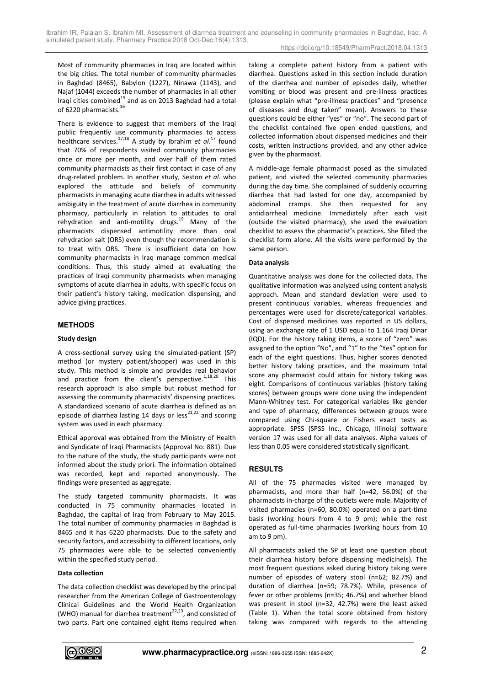Most of community pharmacies in Iraq are located within the big cities. The total number of community pharmacies in Baghdad (8465), Babylon (1227), Ninawa (1143), and Najaf (1044) exceeds the number of pharmacies in all other Iraqi cities combined<sup>15</sup> and as on 2013 Baghdad had a total of 6220 pharmacists.<sup>16</sup>

There is evidence to suggest that members of the Iraqi public frequently use community pharmacies to access healthcare services.17,18 A study by Ibrahim *et al*. <sup>17</sup> found that 70% of respondents visited community pharmacies once or more per month, and over half of them rated community pharmacists as their first contact in case of any drug-related problem. In another study, Seston *et al*. who explored the attitude and beliefs of community pharmacists in managing acute diarrhea in adults witnessed ambiguity in the treatment of acute diarrhea in community pharmacy, particularly in relation to attitudes to oral rehydration and anti-motility drugs.<sup>19</sup> Many of the pharmacists dispensed antimotility more than oral rehydration salt (ORS) even though the recommendation is to treat with ORS. There is insufficient data on how community pharmacists in Iraq manage common medical conditions. Thus, this study aimed at evaluating the practices of Iraqi community pharmacists when managing symptoms of acute diarrhea in adults, with specific focus on their patient's history taking, medication dispensing, and advice giving practices.

### **METHODS**

#### **Study design**

A cross-sectional survey using the simulated-patient (SP) method (or mystery patient/shopper) was used in this study. This method is simple and provides real behavior and practice from the client's perspective.<sup>1,18,20</sup> This research approach is also simple but robust method for assessing the community pharmacists' dispensing practices. A standardized scenario of acute diarrhea is defined as an episode of diarrhea lasting 14 days or less $^{21,22}$  and scoring system was used in each pharmacy.

Ethical approval was obtained from the Ministry of Health and Syndicate of Iraqi Pharmacists (Approval No: 881). Due to the nature of the study, the study participants were not informed about the study priori. The information obtained was recorded, kept and reported anonymously. The findings were presented as aggregate.

The study targeted community pharmacists. It was conducted in 75 community pharmacies located in Baghdad, the capital of Iraq from February to May 2015. The total number of community pharmacies in Baghdad is 8465 and it has 6220 pharmacists. Due to the safety and security factors, and accessibility to different locations, only 75 pharmacies were able to be selected conveniently within the specified study period.

#### **Data collection**

The data collection checklist was developed by the principal researcher from the American College of Gastroenterology Clinical Guidelines and the World Health Organization (WHO) manual for diarrhea treatment<sup>22,23</sup>, and consisted of two parts. Part one contained eight items required when taking a complete patient history from a patient with diarrhea. Questions asked in this section include duration of the diarrhea and number of episodes daily, whether vomiting or blood was present and pre-illness practices (please explain what "pre-illness practices" and "presence of diseases and drug taken" mean). Answers to these questions could be either "yes" or "no". The second part of the checklist contained five open ended questions, and collected information about dispensed medicines and their costs, written instructions provided, and any other advice given by the pharmacist.

A middle-age female pharmacist posed as the simulated patient, and visited the selected community pharmacies during the day time. She complained of suddenly occurring diarrhea that had lasted for one day, accompanied by abdominal cramps. She then requested for any antidiarrheal medicine. Immediately after each visit (outside the visited pharmacy), she used the evaluation checklist to assess the pharmacist's practices. She filled the checklist form alone. All the visits were performed by the same person.

#### **Data analysis**

Quantitative analysis was done for the collected data. The qualitative information was analyzed using content analysis approach. Mean and standard deviation were used to present continuous variables, whereas frequencies and percentages were used for discrete/categorical variables. Cost of dispensed medicines was reported in US dollars, using an exchange rate of 1 USD equal to 1.164 Iraqi Dinar (IQD). For the history taking items, a score of "zero" was assigned to the option "No", and "1" to the "Yes" option for each of the eight questions. Thus, higher scores denoted better history taking practices, and the maximum total score any pharmacist could attain for history taking was eight. Comparisons of continuous variables (history taking scores) between groups were done using the independent Mann-Whitney test. For categorical variables like gender and type of pharmacy, differences between groups were compared using Chi-square or Fishers exact tests as appropriate. SPSS (SPSS Inc., Chicago, Illinois) software version 17 was used for all data analyses. Alpha values of less than 0.05 were considered statistically significant.

# **RESULTS**

All of the 75 pharmacies visited were managed by pharmacists, and more than half (n=42, 56.0%) of the pharmacists in-charge of the outlets were male. Majority of visited pharmacies (n=60, 80.0%) operated on a part-time basis (working hours from 4 to 9 pm); while the rest operated as full-time pharmacies (working hours from 10 am to 9 pm).

All pharmacists asked the SP at least one question about their diarrhea history before dispensing medicine(s). The most frequent questions asked during history taking were number of episodes of watery stool (n=62; 82.7%) and duration of diarrhea (n=59; 78.7%). While, presence of fever or other problems (n=35; 46.7%) and whether blood was present in stool (n=32; 42.7%) were the least asked (Table 1). When the total score obtained from history taking was compared with regards to the attending

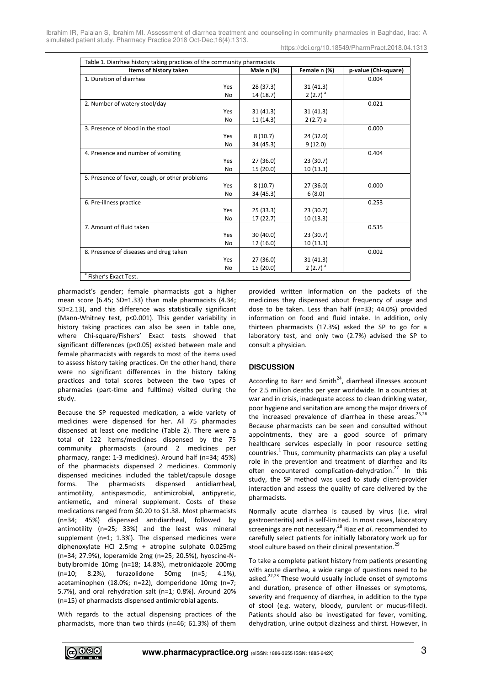https://doi.org/10.18549/PharmPract.2018.04.1313

| Table 1. Diarrhea history taking practices of the community pharmacists |           |              |              |                      |  |  |
|-------------------------------------------------------------------------|-----------|--------------|--------------|----------------------|--|--|
| Items of history taken                                                  |           | Male $n$ $%$ | Female n (%) | p-value (Chi-square) |  |  |
| 1. Duration of diarrhea                                                 |           |              |              | 0.004                |  |  |
|                                                                         | Yes       | 28 (37.3)    | 31(41.3)     |                      |  |  |
|                                                                         | <b>No</b> | 14 (18.7)    | $2(2.7)^{a}$ |                      |  |  |
| 2. Number of watery stool/day                                           |           |              |              | 0.021                |  |  |
|                                                                         | Yes       | 31(41.3)     | 31(41.3)     |                      |  |  |
|                                                                         | <b>No</b> | 11 (14.3)    | 2(2.7) a     |                      |  |  |
| 3. Presence of blood in the stool                                       |           |              |              | 0.000                |  |  |
|                                                                         | Yes       | 8(10.7)      | 24 (32.0)    |                      |  |  |
|                                                                         | <b>No</b> | 34 (45.3)    | 9(12.0)      |                      |  |  |
| 4. Presence and number of vomiting                                      |           |              |              | 0.404                |  |  |
|                                                                         | Yes       | 27(36.0)     | 23 (30.7)    |                      |  |  |
|                                                                         | No        | 15 (20.0)    | 10(13.3)     |                      |  |  |
| 5. Presence of fever, cough, or other problems                          |           |              |              |                      |  |  |
|                                                                         | Yes       | 8(10.7)      | 27 (36.0)    | 0.000                |  |  |
|                                                                         | <b>No</b> | 34 (45.3)    | 6(8.0)       |                      |  |  |
| 6. Pre-illness practice                                                 |           |              |              | 0.253                |  |  |
|                                                                         | Yes       | 25(33.3)     | 23 (30.7)    |                      |  |  |
|                                                                         | <b>No</b> | 17 (22.7)    | 10(13.3)     |                      |  |  |
| 7. Amount of fluid taken                                                |           |              |              | 0.535                |  |  |
|                                                                         | Yes       | 30 (40.0)    | 23 (30.7)    |                      |  |  |
|                                                                         | No        | 12 (16.0)    | 10(13.3)     |                      |  |  |
| 8. Presence of diseases and drug taken                                  |           |              |              | 0.002                |  |  |
|                                                                         | Yes       | 27 (36.0)    | 31(41.3)     |                      |  |  |
|                                                                         | <b>No</b> | 15 (20.0)    | $2(2.7)^{a}$ |                      |  |  |
| <sup>a</sup> Fisher's Exact Test.                                       |           |              |              |                      |  |  |

pharmacist's gender; female pharmacists got a higher mean score (6.45; SD=1.33) than male pharmacists (4.34; SD=2.13), and this difference was statistically significant (Mann-Whitney test, p<0.001). This gender variability in history taking practices can also be seen in table one, where Chi-square/Fishers' Exact tests showed that significant differences (p<0.05) existed between male and female pharmacists with regards to most of the items used to assess history taking practices. On the other hand, there were no significant differences in the history taking practices and total scores between the two types of pharmacies (part-time and fulltime) visited during the study.

Because the SP requested medication, a wide variety of medicines were dispensed for her. All 75 pharmacies dispensed at least one medicine (Table 2). There were a total of 122 items/medicines dispensed by the 75 community pharmacists (around 2 medicines per pharmacy, range: 1-3 medicines). Around half (n=34; 45%) of the pharmacists dispensed 2 medicines. Commonly dispensed medicines included the tablet/capsule dosage forms. The pharmacists dispensed antidiarrheal, antimotility, antispasmodic, antimicrobial, antipyretic, antiemetic, and mineral supplement. Costs of these medications ranged from \$0.20 to \$1.38. Most pharmacists (n=34; 45%) dispensed antidiarrheal, followed by antimotility (n=25; 33%) and the least was mineral supplement (n=1; 1.3%). The dispensed medicines were diphenoxylate HCl 2.5mg + atropine sulphate 0.025mg (n=34; 27.9%), loperamide 2mg (n=25; 20.5%), hyoscine-Nbutylbromide 10mg (n=18; 14.8%), metronidazole 200mg (n=10; 8.2%), furazolidone 50mg (n=5; 4.1%), acetaminophen (18.0%; n=22), domperidone 10mg (n=7; 5.7%), and oral rehydration salt (n=1; 0.8%). Around 20% (n=15) of pharmacists dispensed antimicrobial agents.

With regards to the actual dispensing practices of the pharmacists, more than two thirds (n=46; 61.3%) of them provided written information on the packets of the medicines they dispensed about frequency of usage and dose to be taken. Less than half (n=33; 44.0%) provided information on food and fluid intake. In addition, only thirteen pharmacists (17.3%) asked the SP to go for a laboratory test, and only two (2.7%) advised the SP to consult a physician.

# **DISCUSSION**

According to Barr and Smith $^{24}$ , diarrheal illnesses account for 2.5 million deaths per year worldwide. In a countries at war and in crisis, inadequate access to clean drinking water, poor hygiene and sanitation are among the major drivers of the increased prevalence of diarrhea in these areas.<sup>25,26</sup> Because pharmacists can be seen and consulted without appointments, they are a good source of primary healthcare services especially in poor resource setting countries.<sup>1</sup> Thus, community pharmacists can play a useful role in the prevention and treatment of diarrhea and its often encountered complication-dehydration.<sup>27</sup> In this study, the SP method was used to study client-provider interaction and assess the quality of care delivered by the pharmacists.

Normally acute diarrhea is caused by virus (i.e. viral gastroenteritis) and is self-limited. In most cases, laboratory screenings are not necessary.<sup>28</sup> Riaz *et al*. recommended to carefully select patients for initially laboratory work up for stool culture based on their clinical presentation.<sup>29</sup>

To take a complete patient history from patients presenting with acute diarrhea, a wide range of questions need to be asked. $22,23$  These would usually include onset of symptoms and duration, presence of other illnesses or symptoms, severity and frequency of diarrhea, in addition to the type of stool (e.g. watery, bloody, purulent or mucus-filled). Patients should also be investigated for fever, vomiting, dehydration, urine output dizziness and thirst. However, in

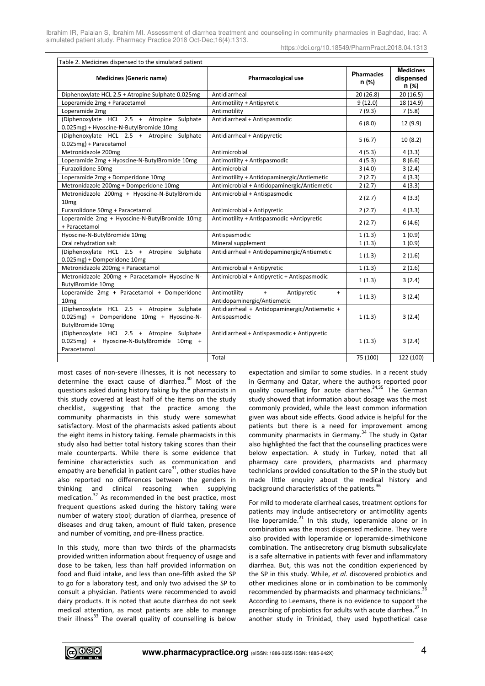| https://doi.org/10.18549/PharmPract.2018.04.1313 |  |
|--------------------------------------------------|--|
|--------------------------------------------------|--|

| Table 2. Medicines dispensed to the simulated patient                                                               |                                                                                |                            |                                        |  |  |  |
|---------------------------------------------------------------------------------------------------------------------|--------------------------------------------------------------------------------|----------------------------|----------------------------------------|--|--|--|
| <b>Medicines (Generic name)</b>                                                                                     | Pharmacological use                                                            | <b>Pharmacies</b><br>n (%) | <b>Medicines</b><br>dispensed<br>n (%) |  |  |  |
| Diphenoxylate HCL 2.5 + Atropine Sulphate 0.025mg                                                                   | Antidiarrheal                                                                  | 20(26.8)                   | 20(16.5)                               |  |  |  |
| Loperamide 2mg + Paracetamol                                                                                        | Antimotility + Antipyretic                                                     | 9(12.0)                    | 18 (14.9)                              |  |  |  |
| Loperamide 2mg                                                                                                      | Antimotility                                                                   | 7(9.3)                     | 7(5.8)                                 |  |  |  |
| (Diphenoxylate HCL 2.5 + Atropine Sulphate<br>0.025mg) + Hyoscine-N-ButylBromide 10mg                               | Antidiarrheal + Antispasmodic                                                  | 6(8.0)                     | 12 (9.9)                               |  |  |  |
| (Diphenoxylate HCL 2.5 + Atropine Sulphate<br>0.025mg) + Paracetamol                                                | Antidiarrheal + Antipyretic                                                    | 5(6.7)                     | 10(8.2)                                |  |  |  |
| Metronidazole 200mg                                                                                                 | Antimicrobial                                                                  | 4(5.3)                     | 4(3.3)                                 |  |  |  |
| Loperamide 2mg + Hyoscine-N-ButylBromide 10mg                                                                       | Antimotility + Antispasmodic                                                   | 4(5.3)                     | 8(6.6)                                 |  |  |  |
| Furazolidone 50mg                                                                                                   | Antimicrobial                                                                  | 3(4.0)                     | 3(2.4)                                 |  |  |  |
| Loperamide 2mg + Domperidone 10mg                                                                                   | Antimotility + Antidopaminergic/Antiemetic                                     | 2(2.7)                     | 4(3.3)                                 |  |  |  |
| Metronidazole 200mg + Domperidone 10mg                                                                              | Antimicrobial + Antidopaminergic/Antiemetic                                    | 2(2.7)                     | 4(3.3)                                 |  |  |  |
| Metronidazole 200mg + Hyoscine-N-ButylBromide<br>10 <sub>mg</sub>                                                   | Antimicrobial + Antispasmodic                                                  | 2(2.7)                     | 4(3.3)                                 |  |  |  |
| Furazolidone 50mg + Paracetamol                                                                                     | Antimicrobial + Antipyretic                                                    | 2(2.7)                     | 4(3.3)                                 |  |  |  |
| Loperamide 2mg + Hyoscine-N-ButylBromide 10mg<br>+ Paracetamol                                                      | Antimotility + Antispasmodic + Antipyretic                                     | 2(2.7)                     | 6(4.6)                                 |  |  |  |
| Hyoscine-N-ButylBromide 10mg                                                                                        | Antispasmodic                                                                  | 1(1.3)                     | 1(0.9)                                 |  |  |  |
| Oral rehydration salt                                                                                               | Mineral supplement                                                             | 1(1.3)                     | 1(0.9)                                 |  |  |  |
| (Diphenoxylate HCL 2.5 + Atropine Sulphate<br>0.025mg) + Domperidone 10mg                                           | Antidiarrheal + Antidopaminergic/Antiemetic                                    | 1(1.3)                     | 2(1.6)                                 |  |  |  |
| Metronidazole 200mg + Paracetamol                                                                                   | Antimicrobial + Antipyretic                                                    | 1(1.3)                     | 2(1.6)                                 |  |  |  |
| Metronidazole 200mg + Paracetamol+ Hyoscine-N-<br><b>ButylBromide 10mg</b>                                          | Antimicrobial + Antipyretic + Antispasmodic                                    | 1(1.3)                     | 3(2.4)                                 |  |  |  |
| Loperamide 2mg + Paracetamol + Domperidone<br>10 <sub>mg</sub>                                                      | Antimotility<br>$\ddot{}$<br>Antipyretic<br>$+$<br>Antidopaminergic/Antiemetic | 1(1.3)                     | 3(2.4)                                 |  |  |  |
| (Diphenoxylate HCL 2.5 + Atropine Sulphate<br>0.025mg) + Domperidone 10mg + Hyoscine-N-<br><b>ButylBromide 10mg</b> | Antidiarrheal + Antidopaminergic/Antiemetic +<br>Antispasmodic                 | 1(1.3)                     | 3(2.4)                                 |  |  |  |
| (Diphenoxylate HCL 2.5 + Atropine Sulphate<br>0.025mg) + Hyoscine-N-ButylBromide 10mg +<br>Paracetamol              | Antidiarrheal + Antispasmodic + Antipyretic                                    | 1(1.3)                     | 3(2.4)                                 |  |  |  |
|                                                                                                                     | Total                                                                          | 75 (100)                   | 122 (100)                              |  |  |  |

most cases of non-severe illnesses, it is not necessary to determine the exact cause of diarrhea.<sup>30</sup> Most of the questions asked during history taking by the pharmacists in this study covered at least half of the items on the study checklist, suggesting that the practice among the community pharmacists in this study were somewhat satisfactory. Most of the pharmacists asked patients about the eight items in history taking. Female pharmacists in this study also had better total history taking scores than their male counterparts. While there is some evidence that feminine characteristics such as communication and empathy are beneficial in patient care $31$ , other studies have also reported no differences between the genders in thinking and clinical reasoning when supplying medication.<sup>32</sup> As recommended in the best practice, most frequent questions asked during the history taking were number of watery stool; duration of diarrhea, presence of diseases and drug taken, amount of fluid taken, presence and number of vomiting, and pre-illness practice.

In this study, more than two thirds of the pharmacists provided written information about frequency of usage and dose to be taken, less than half provided information on food and fluid intake, and less than one-fifth asked the SP to go for a laboratory test, and only two advised the SP to consult a physician. Patients were recommended to avoid dairy products. It is noted that acute diarrhea do not seek medical attention, as most patients are able to manage their illness $33$  The overall quality of counselling is below

expectation and similar to some studies. In a recent study in Germany and Qatar, where the authors reported poor quality counselling for acute diarrhea. $34,35$  The German study showed that information about dosage was the most commonly provided, while the least common information given was about side effects. Good advice is helpful for the patients but there is a need for improvement among community pharmacists in Germany.<sup>34</sup> The study in Qatar also highlighted the fact that the counselling practices were below expectation. A study in Turkey, noted that all pharmacy care providers, pharmacists and pharmacy technicians provided consultation to the SP in the study but made little enquiry about the medical history and background characteristics of the patients.<sup>36</sup>

For mild to moderate diarrheal cases, treatment options for patients may include antisecretory or antimotility agents like loperamide. $^{21}$  In this study, loperamide alone or in combination was the most dispensed medicine. They were also provided with loperamide or loperamide-simethicone combination. The antisecretory drug bismuth subsalicylate is a safe alternative in patients with fever and inflammatory diarrhea. But, this was not the condition experienced by the SP in this study. While, *et al*. discovered probiotics and other medicines alone or in combination to be commonly recommended by pharmacists and pharmacy technicians.<sup>3</sup> According to Leemans, there is no evidence to support the prescribing of probiotics for adults with acute diarrhea.<sup>37</sup> In another study in Trinidad, they used hypothetical case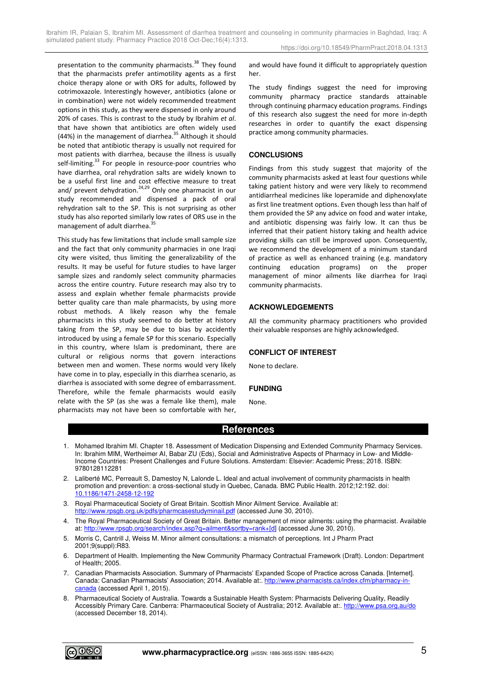Ibrahim IR, Palaian S, Ibrahim MI. Assessment of diarrhea treatment and counseling in community pharmacies in Baghdad, Iraq: A simulated patient study. Pharmacy Practice 2018 Oct-Dec;16(4):1313. https://doi.org/10.18549/PharmPract.2018.04.1313

presentation to the community pharmacists.<sup>38</sup> They found that the pharmacists prefer antimotility agents as a first choice therapy alone or with ORS for adults, followed by cotrimoxazole. Interestingly however, antibiotics (alone or in combination) were not widely recommended treatment options in this study, as they were dispensed in only around 20% of cases. This is contrast to the study by Ibrahim *et al*. that have shown that antibiotics are often widely used (44%) in the management of diarrhea.<sup>35</sup> Although it should be noted that antibiotic therapy is usually not required for most patients with diarrhea, because the illness is usually self-limiting.<sup>33</sup> For people in resource-poor countries who have diarrhea, oral rehydration salts are widely known to be a useful first line and cost effective measure to treat and/ prevent dehydration. $24,29$  Only one pharmacist in our study recommended and dispensed a pack of oral rehydration salt to the SP. This is not surprising as other study has also reported similarly low rates of ORS use in the management of adult diarrhea.<sup>35</sup>

This study has few limitations that include small sample size and the fact that only community pharmacies in one Iraqi city were visited, thus limiting the generalizability of the results. It may be useful for future studies to have larger sample sizes and randomly select community pharmacies across the entire country. Future research may also try to assess and explain whether female pharmacists provide better quality care than male pharmacists, by using more robust methods. A likely reason why the female pharmacists in this study seemed to do better at history taking from the SP, may be due to bias by accidently introduced by using a female SP for this scenario. Especially in this country, where Islam is predominant, there are cultural or religious norms that govern interactions between men and women. These norms would very likely have come in to play, especially in this diarrhea scenario, as diarrhea is associated with some degree of embarrassment. Therefore, while the female pharmacists would easily relate with the SP (as she was a female like them), male pharmacists may not have been so comfortable with her,

and would have found it difficult to appropriately question her.

The study findings suggest the need for improving community pharmacy practice standards attainable through continuing pharmacy education programs. Findings of this research also suggest the need for more in-depth researches in order to quantify the exact dispensing practice among community pharmacies.

# **CONCLUSIONS**

Findings from this study suggest that majority of the community pharmacists asked at least four questions while taking patient history and were very likely to recommend antidiarrheal medicines like loperamide and diphenoxylate as first line treatment options. Even though less than half of them provided the SP any advice on food and water intake, and antibiotic dispensing was fairly low. It can thus be inferred that their patient history taking and health advice providing skills can still be improved upon. Consequently, we recommend the development of a minimum standard of practice as well as enhanced training (e.g. mandatory continuing education programs) on the proper management of minor ailments like diarrhea for Iraqi community pharmacists.

# **ACKNOWLEDGEMENTS**

All the community pharmacy practitioners who provided their valuable responses are highly acknowledged.

#### **CONFLICT OF INTEREST**

None to declare.

#### **FUNDING**

None.

# **References**

- 1. Mohamed Ibrahim MI. Chapter 18. Assessment of Medication Dispensing and Extended Community Pharmacy Services. In: Ibrahim MIM, Wertheimer AI, Babar ZU (Eds), Social and Administrative Aspects of Pharmacy in Low- and Middle-Income Countries: Present Challenges and Future Solutions. Amsterdam: Elsevier: Academic Press; 2018. ISBN: 9780128112281
- 2. Laliberté MC, Perreault S, Damestoy N, Lalonde L. Ideal and actual involvement of community pharmacists in health promotion and prevention: a cross-sectional study in Quebec, Canada. BMC Public Health. 2012;12:192. doi: [10.1186/1471-2458-12-192](https://doi.org/10.1186/1471-2458-12-192)
- 3. Royal Pharmaceutical Society of Great Britain. Scottish Minor Ailment Service. Available at: [http://www.rpsgb.org.uk/pdfs/pharmcasestudyminail.pdf \(](http://www.rpsgb.org.uk/pdfs/pharmcasestudyminail.pdf)accessed June 30, 2010).
- 4. The Royal Pharmaceutical Society of Great Britain. Better management of minor ailments: using the pharmacist. Available at: [http://www.rpsgb.org/search/index.asp?q=ailment&sortby=rank+\[d\]](http://www.rpsgb.org/search/index.asp?q=ailment&sortby=rank+%5bd) (accessed June 30, 2010).
- 5. Morris C, Cantrill J, Weiss M. Minor ailment consultations: a mismatch of perceptions. Int J Pharm Pract 2001;9(suppl):R83.
- 6. Department of Health. Implementing the New Community Pharmacy Contractual Framework (Draft). London: Department of Health; 2005.
- 7. Canadian Pharmacists Association. Summary of Pharmacists' Expanded Scope of Practice across Canada. [Internet]. Canada: Canadian Pharmacists' Association; 2014. Available at:. [http://www.pharmacists.ca/index.cfm/pharmacy-in](http://www.pharmacists.ca/index.cfm/pharmacy-in-canada)[canada \(](http://www.pharmacists.ca/index.cfm/pharmacy-in-canada)accessed April 1, 2015).
- 8. Pharmaceutical Society of Australia. Towards a Sustainable Health System: Pharmacists Delivering Quality, Readily Accessibly Primary Care. Canberra: Pharmaceutical Society of Australia; 2012. Available at:.<http://www.psa.org.au/do> (accessed December 18, 2014).